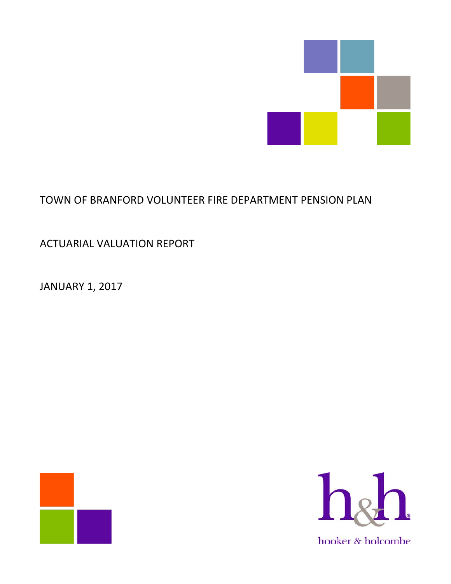

# TOWN OF BRANFORD VOLUNTEER FIRE DEPARTMENT PENSION PLAN

ACTUARIAL VALUATION REPORT

JANUARY 1, 2017



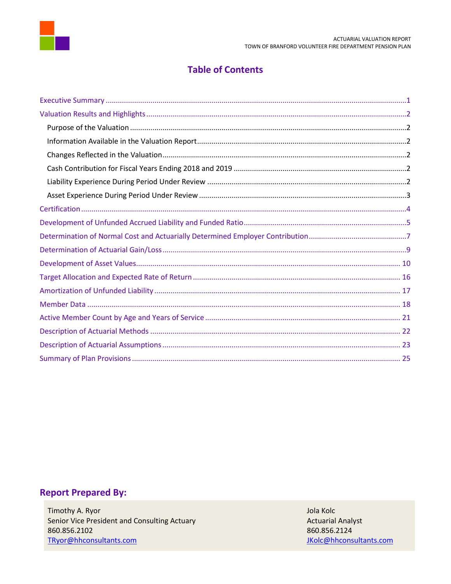

### **Table of Contents**

# **Report Prepared By:**

Timothy A. Ryor Senior Vice President and Consulting Actuary 860.856.2102 TRyor@hhconsultants.com

Jola Kolc **Actuarial Analyst** 860.856.2124 JKolc@hhconsultants.com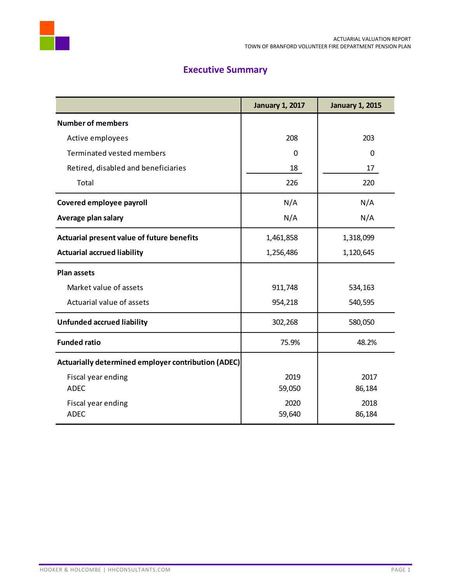

# **Executive Summary**

<span id="page-2-0"></span>

|                                                     | <b>January 1, 2017</b> | <b>January 1, 2015</b> |
|-----------------------------------------------------|------------------------|------------------------|
| <b>Number of members</b>                            |                        |                        |
| Active employees                                    | 208                    | 203                    |
| Terminated vested members                           | $\mathbf{0}$           | $\mathbf 0$            |
| Retired, disabled and beneficiaries                 | 18                     | 17                     |
| Total                                               | 226                    | 220                    |
| Covered employee payroll                            | N/A                    | N/A                    |
| Average plan salary                                 | N/A                    | N/A                    |
| Actuarial present value of future benefits          | 1,461,858              | 1,318,099              |
| <b>Actuarial accrued liability</b>                  | 1,256,486              | 1,120,645              |
| <b>Plan assets</b>                                  |                        |                        |
| Market value of assets                              | 911,748                | 534,163                |
| Actuarial value of assets                           | 954,218                | 540,595                |
| <b>Unfunded accrued liability</b>                   | 302,268                | 580,050                |
| <b>Funded ratio</b>                                 | 75.9%                  | 48.2%                  |
| Actuarially determined employer contribution (ADEC) |                        |                        |
| Fiscal year ending                                  | 2019                   | 2017                   |
| <b>ADEC</b>                                         | 59,050                 | 86,184                 |
| Fiscal year ending                                  | 2020                   | 2018                   |
| <b>ADEC</b>                                         | 59,640                 | 86,184                 |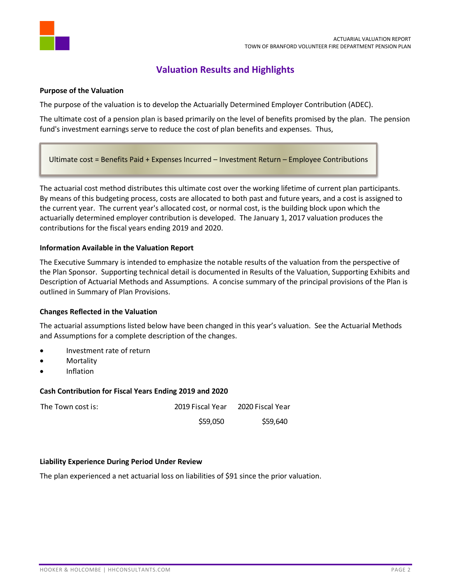

### **Valuation Results and Highlights**

### <span id="page-3-1"></span><span id="page-3-0"></span>**Purpose of the Valuation**

The purpose of the valuation is to develop the Actuarially Determined Employer Contribution (ADEC).

The ultimate cost of a pension plan is based primarily on the level of benefits promised by the plan. The pension fund's investment earnings serve to reduce the cost of plan benefits and expenses. Thus,

Ultimate cost = Benefits Paid + Expenses Incurred – Investment Return – Employee Contributions

The actuarial cost method distributes this ultimate cost over the working lifetime of current plan participants. By means of this budgeting process, costs are allocated to both past and future years, and a cost is assigned to the current year. The current year's allocated cost, or normal cost, is the building block upon which the actuarially determined employer contribution is developed. The January 1, 2017 valuation produces the contributions for the fiscal years ending 2019 and 2020.

### <span id="page-3-2"></span>**Information Available in the Valuation Report**

The Executive Summary is intended to emphasize the notable results of the valuation from the perspective of the Plan Sponsor. Supporting technical detail is documented in Results of the Valuation, Supporting Exhibits and Description of Actuarial Methods and Assumptions. A concise summary of the principal provisions of the Plan is outlined in Summary of Plan Provisions.

### <span id="page-3-3"></span>**Changes Reflected in the Valuation**

The actuarial assumptions listed below have been changed in this year's valuation. See the Actuarial Methods and Assumptions for a complete description of the changes.

- Investment rate of return
- **Mortality**
- Inflation

### <span id="page-3-4"></span>**Cash Contribution for Fiscal Years Ending 2019 and 2020**

| The Town cost is: | 2019 Fiscal Year | 2020 Fiscal Year |
|-------------------|------------------|------------------|
|                   | \$59,050         | \$59,640         |

### <span id="page-3-5"></span>**Liability Experience During Period Under Review**

The plan experienced a net actuarial loss on liabilities of \$91 since the prior valuation.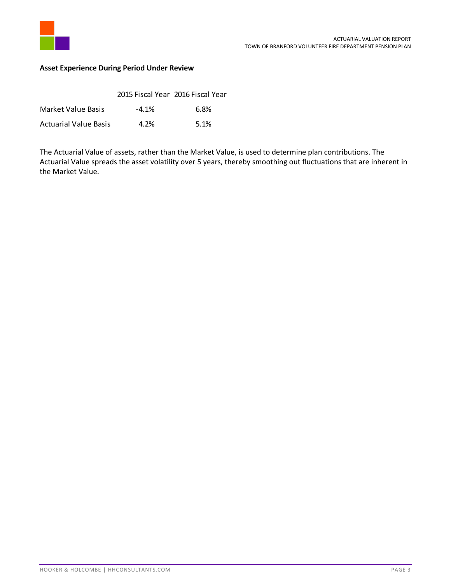

### <span id="page-4-0"></span>**Asset Experience During Period Under Review**

|                              | 2015 Fiscal Year 2016 Fiscal Year |      |
|------------------------------|-----------------------------------|------|
| Market Value Basis           | $-4.1\%$                          | 6.8% |
| <b>Actuarial Value Basis</b> | 4.2%                              | 5.1% |

The Actuarial Value of assets, rather than the Market Value, is used to determine plan contributions. The Actuarial Value spreads the asset volatility over 5 years, thereby smoothing out fluctuations that are inherent in the Market Value.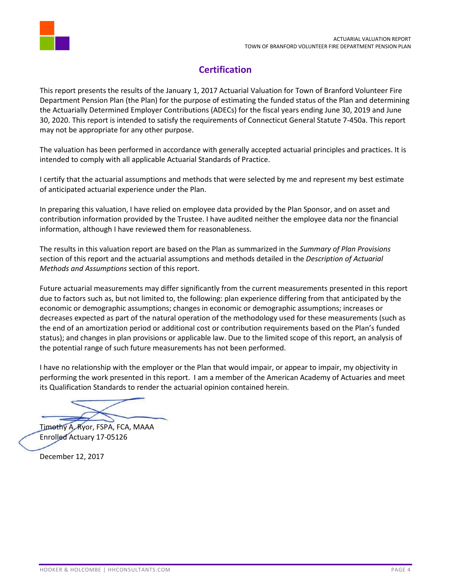

## **Certification**

<span id="page-5-0"></span>This report presents the results of the January 1, 2017 Actuarial Valuation for Town of Branford Volunteer Fire Department Pension Plan (the Plan) for the purpose of estimating the funded status of the Plan and determining the Actuarially Determined Employer Contributions (ADECs) for the fiscal years ending June 30, 2019 and June 30, 2020. This report is intended to satisfy the requirements of Connecticut General Statute 7-450a. This report may not be appropriate for any other purpose.

The valuation has been performed in accordance with generally accepted actuarial principles and practices. It is intended to comply with all applicable Actuarial Standards of Practice.

I certify that the actuarial assumptions and methods that were selected by me and represent my best estimate of anticipated actuarial experience under the Plan.

In preparing this valuation, I have relied on employee data provided by the Plan Sponsor, and on asset and contribution information provided by the Trustee. I have audited neither the employee data nor the financial information, although I have reviewed them for reasonableness.

The results in this valuation report are based on the Plan as summarized in the *Summary of Plan Provisions* section of this report and the actuarial assumptions and methods detailed in the *Description of Actuarial Methods and Assumptions* section of this report.

Future actuarial measurements may differ significantly from the current measurements presented in this report due to factors such as, but not limited to, the following: plan experience differing from that anticipated by the economic or demographic assumptions; changes in economic or demographic assumptions; increases or decreases expected as part of the natural operation of the methodology used for these measurements (such as the end of an amortization period or additional cost or contribution requirements based on the Plan's funded status); and changes in plan provisions or applicable law. Due to the limited scope of this report, an analysis of the potential range of such future measurements has not been performed.

I have no relationship with the employer or the Plan that would impair, or appear to impair, my objectivity in performing the work presented in this report. I am a member of the American Academy of Actuaries and meet its Qualification Standards to render the actuarial opinion contained herein.

Timothy A. Ryor, FSPA, FCA, MAAA Enrolled Actuary 17-05126

December 12, 2017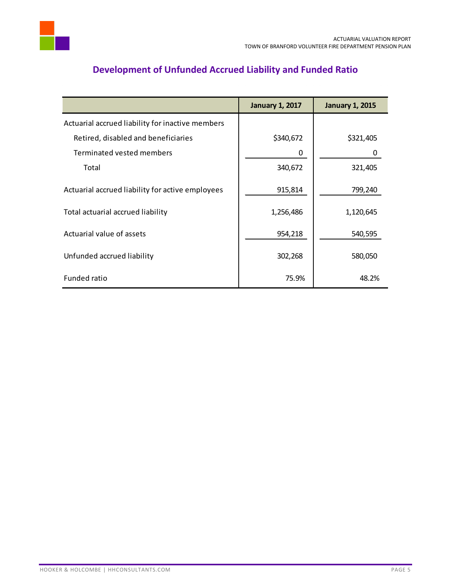

# <span id="page-6-0"></span>Actuarial accrued liability for inactive members Retired, disabled and beneficiaries  $\vert$  \$340,672  $\vert$  \$321,405 Terminated vested members 0 0 Total 340,672 321,405 Actuarial accrued liability for active employees | 915,814 | 799,240 Total actuarial accrued liability 1,256,486 1,120,645 Actuarial value of assets 954,218 540,595 Unfunded accrued liability and the state of the state of the state of the state of the state of the state of t Funded ratio  $\begin{array}{ccc} 1 & 0 & 0 \\ 0 & 0 & 0 \\ 0 & 0 & 0 \end{array}$  48.2% **January 1, 2017 January 1, 2015**

### **Development of Unfunded Accrued Liability and Funded Ratio**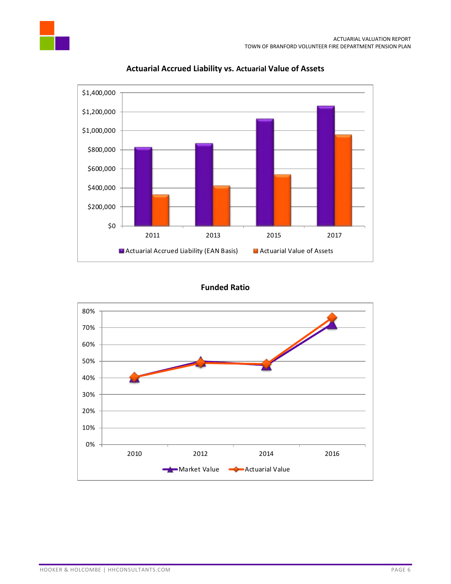

### **Actuarial Accrued Liability vs. Actuarial Value of Assets**

### **Funded Ratio**

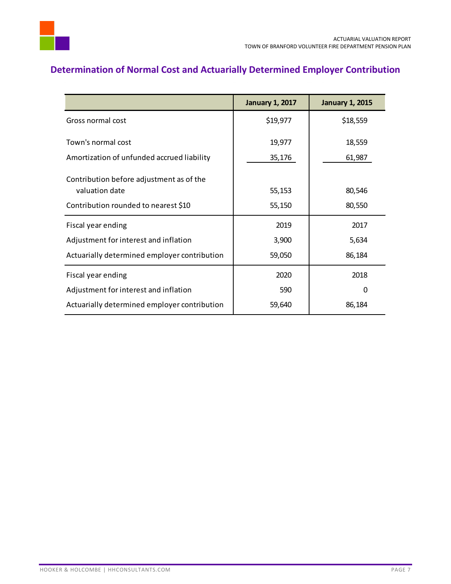

# <span id="page-8-0"></span>**Determination of Normal Cost and Actuarially Determined Employer Contribution**

|                                              | <b>January 1, 2017</b> | <b>January 1, 2015</b> |
|----------------------------------------------|------------------------|------------------------|
| Gross normal cost                            | \$19,977               | \$18,559               |
| Town's normal cost                           | 19,977                 | 18,559                 |
| Amortization of unfunded accrued liability   | 35,176                 | 61,987                 |
| Contribution before adjustment as of the     |                        |                        |
| valuation date                               | 55,153                 | 80,546                 |
| Contribution rounded to nearest \$10         | 55,150                 | 80,550                 |
| Fiscal year ending                           | 2019                   | 2017                   |
| Adjustment for interest and inflation        | 3,900                  | 5,634                  |
| Actuarially determined employer contribution | 59,050                 | 86,184                 |
| Fiscal year ending                           | 2020                   | 2018                   |
| Adjustment for interest and inflation        | 590                    | 0                      |
| Actuarially determined employer contribution | 59,640                 | 86,184                 |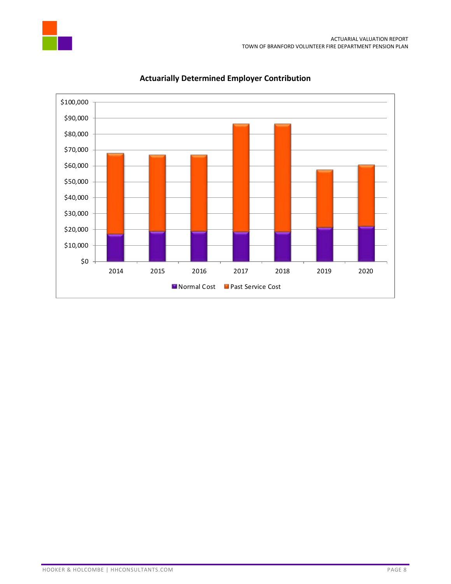



### **Actuarially Determined Employer Contribution**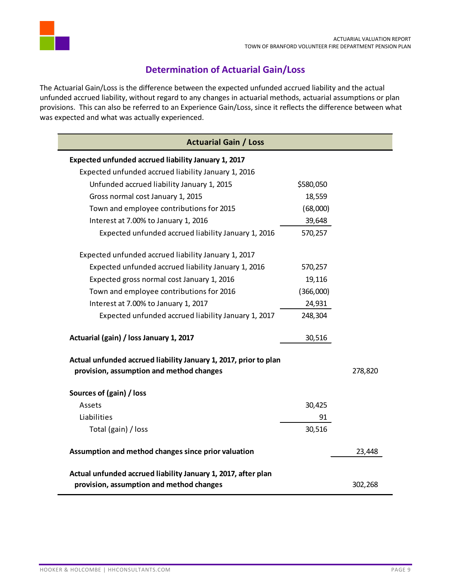

### **Determination of Actuarial Gain/Loss**

<span id="page-10-0"></span>The Actuarial Gain/Loss is the difference between the expected unfunded accrued liability and the actual unfunded accrued liability, without regard to any changes in actuarial methods, actuarial assumptions or plan provisions. This can also be referred to an Experience Gain/Loss, since it reflects the difference between what was expected and what was actually experienced.

| <b>Actuarial Gain / Loss</b>                                                                                 |           |         |
|--------------------------------------------------------------------------------------------------------------|-----------|---------|
| Expected unfunded accrued liability January 1, 2017                                                          |           |         |
| Expected unfunded accrued liability January 1, 2016                                                          |           |         |
| Unfunded accrued liability January 1, 2015                                                                   | \$580,050 |         |
| Gross normal cost January 1, 2015                                                                            | 18,559    |         |
| Town and employee contributions for 2015                                                                     | (68,000)  |         |
| Interest at 7.00% to January 1, 2016                                                                         | 39,648    |         |
| Expected unfunded accrued liability January 1, 2016                                                          | 570,257   |         |
| Expected unfunded accrued liability January 1, 2017                                                          |           |         |
| Expected unfunded accrued liability January 1, 2016                                                          | 570,257   |         |
| Expected gross normal cost January 1, 2016                                                                   | 19,116    |         |
| Town and employee contributions for 2016                                                                     | (366,000) |         |
| Interest at 7.00% to January 1, 2017                                                                         | 24,931    |         |
| Expected unfunded accrued liability January 1, 2017                                                          | 248,304   |         |
| Actuarial (gain) / loss January 1, 2017                                                                      | 30,516    |         |
| Actual unfunded accrued liability January 1, 2017, prior to plan<br>provision, assumption and method changes |           | 278,820 |
| Sources of (gain) / loss                                                                                     |           |         |
| Assets                                                                                                       | 30,425    |         |
| Liabilities                                                                                                  | 91        |         |
| Total (gain) / loss                                                                                          | 30,516    |         |
| Assumption and method changes since prior valuation                                                          |           | 23,448  |
| Actual unfunded accrued liability January 1, 2017, after plan                                                |           |         |
| provision, assumption and method changes                                                                     |           | 302,268 |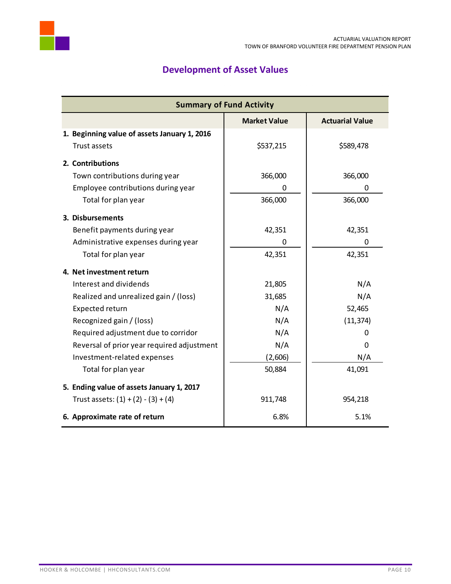

# **Development of Asset Values**

<span id="page-11-0"></span>

| <b>Summary of Fund Activity</b>              |                     |                        |  |
|----------------------------------------------|---------------------|------------------------|--|
|                                              | <b>Market Value</b> | <b>Actuarial Value</b> |  |
| 1. Beginning value of assets January 1, 2016 |                     |                        |  |
| Trust assets                                 | \$537,215           | \$589,478              |  |
| 2. Contributions                             |                     |                        |  |
| Town contributions during year               | 366,000             | 366,000                |  |
| Employee contributions during year           | 0                   | 0                      |  |
| Total for plan year                          | 366,000             | 366,000                |  |
| 3. Disbursements                             |                     |                        |  |
| Benefit payments during year                 | 42,351              | 42,351                 |  |
| Administrative expenses during year          | 0                   | 0                      |  |
| Total for plan year                          | 42,351              | 42,351                 |  |
| 4. Net investment return                     |                     |                        |  |
| Interest and dividends                       | 21,805              | N/A                    |  |
| Realized and unrealized gain / (loss)        | 31,685              | N/A                    |  |
| Expected return                              | N/A                 | 52,465                 |  |
| Recognized gain / (loss)                     | N/A                 | (11, 374)              |  |
| Required adjustment due to corridor          | N/A                 | 0                      |  |
| Reversal of prior year required adjustment   | N/A                 | 0                      |  |
| Investment-related expenses                  | (2,606)             | N/A                    |  |
| Total for plan year                          | 50,884              | 41,091                 |  |
| 5. Ending value of assets January 1, 2017    |                     |                        |  |
| Trust assets: $(1) + (2) - (3) + (4)$        | 911,748             | 954,218                |  |
| 6. Approximate rate of return                | 6.8%                | 5.1%                   |  |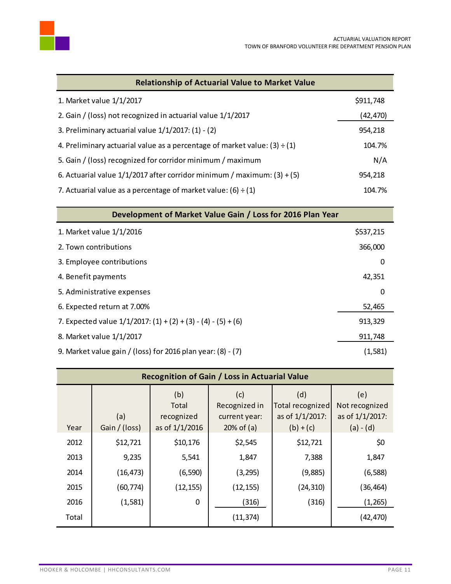

| <b>Relationship of Actuarial Value to Market Value</b>                         |           |
|--------------------------------------------------------------------------------|-----------|
| 1. Market value 1/1/2017                                                       | \$911,748 |
| 2. Gain / (loss) not recognized in actuarial value 1/1/2017                    | (42, 470) |
| 3. Preliminary actuarial value 1/1/2017: (1) - (2)                             | 954,218   |
| 4. Preliminary actuarial value as a percentage of market value: $(3) \div (1)$ | 104.7%    |
| 5. Gain / (loss) recognized for corridor minimum / maximum                     | N/A       |
| 6. Actuarial value $1/1/2017$ after corridor minimum / maximum: (3) + (5)      | 954,218   |
| 7. Actuarial value as a percentage of market value: $(6) \div (1)$             | 104.7%    |

| Development of Market Value Gain / Loss for 2016 Plan Year         |           |
|--------------------------------------------------------------------|-----------|
| 1. Market value 1/1/2016                                           | \$537,215 |
| 2. Town contributions                                              | 366,000   |
| 3. Employee contributions                                          | 0         |
| 4. Benefit payments                                                | 42,351    |
| 5. Administrative expenses                                         | 0         |
| 6. Expected return at 7.00%                                        | 52,465    |
| 7. Expected value $1/1/2017$ : $(1) + (2) + (3) - (4) - (5) + (6)$ | 913,329   |
| 8. Market value 1/1/2017                                           | 911,748   |
| 9. Market value gain / (loss) for 2016 plan year: $(8) - (7)$      | (1,581)   |

| <b>Recognition of Gain / Loss in Actuarial Value</b> |                      |                                              |                                                       |                                                           |                                                         |
|------------------------------------------------------|----------------------|----------------------------------------------|-------------------------------------------------------|-----------------------------------------------------------|---------------------------------------------------------|
| Year                                                 | (a)<br>Gain / (loss) | (b)<br>Total<br>recognized<br>as of 1/1/2016 | (c)<br>Recognized in<br>current year:<br>$20%$ of (a) | (d)<br>Total recognized<br>as of 1/1/2017:<br>$(b) + (c)$ | (e)<br>Not recognized<br>as of 1/1/2017:<br>$(a) - (d)$ |
| 2012                                                 | \$12,721             | \$10,176                                     | \$2,545                                               | \$12,721                                                  | \$0                                                     |
| 2013                                                 | 9,235                | 5,541                                        | 1,847                                                 | 7,388                                                     | 1,847                                                   |
| 2014                                                 | (16, 473)            | (6,590)                                      | (3, 295)                                              | (9,885)                                                   | (6, 588)                                                |
| 2015                                                 | (60, 774)            | (12, 155)                                    | (12, 155)                                             | (24, 310)                                                 | (36,464)                                                |
| 2016                                                 | (1, 581)             | $\mathbf 0$                                  | (316)                                                 | (316)                                                     | (1, 265)                                                |
| Total                                                |                      |                                              | (11, 374)                                             |                                                           | (42,470)                                                |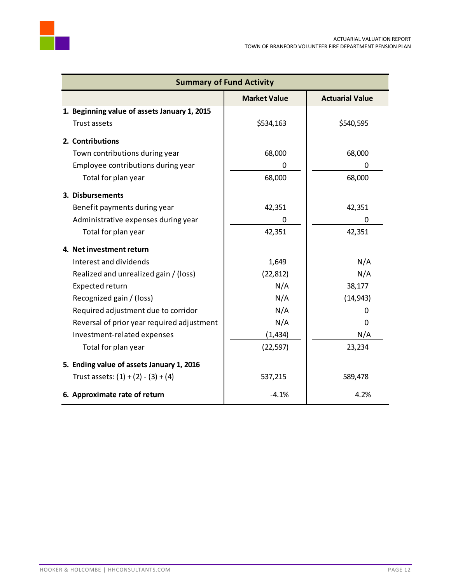

| <b>Summary of Fund Activity</b>              |                     |                        |  |
|----------------------------------------------|---------------------|------------------------|--|
|                                              | <b>Market Value</b> | <b>Actuarial Value</b> |  |
| 1. Beginning value of assets January 1, 2015 |                     |                        |  |
| Trust assets                                 | \$534,163           | \$540,595              |  |
| 2. Contributions                             |                     |                        |  |
| Town contributions during year               | 68,000              | 68,000                 |  |
| Employee contributions during year           | 0                   | 0                      |  |
| Total for plan year                          | 68,000              | 68,000                 |  |
| 3. Disbursements                             |                     |                        |  |
| Benefit payments during year                 | 42,351              | 42,351                 |  |
| Administrative expenses during year          | 0                   | 0                      |  |
| Total for plan year                          | 42,351              | 42,351                 |  |
| 4. Net investment return                     |                     |                        |  |
| Interest and dividends                       | 1,649               | N/A                    |  |
| Realized and unrealized gain / (loss)        | (22, 812)           | N/A                    |  |
| Expected return                              | N/A                 | 38,177                 |  |
| Recognized gain / (loss)                     | N/A                 | (14, 943)              |  |
| Required adjustment due to corridor          | N/A                 | 0                      |  |
| Reversal of prior year required adjustment   | N/A                 | 0                      |  |
| Investment-related expenses                  | (1, 434)            | N/A                    |  |
| Total for plan year                          | (22, 597)           | 23,234                 |  |
| 5. Ending value of assets January 1, 2016    |                     |                        |  |
| Trust assets: $(1) + (2) - (3) + (4)$        | 537,215             | 589,478                |  |
| 6. Approximate rate of return                | $-4.1%$             | 4.2%                   |  |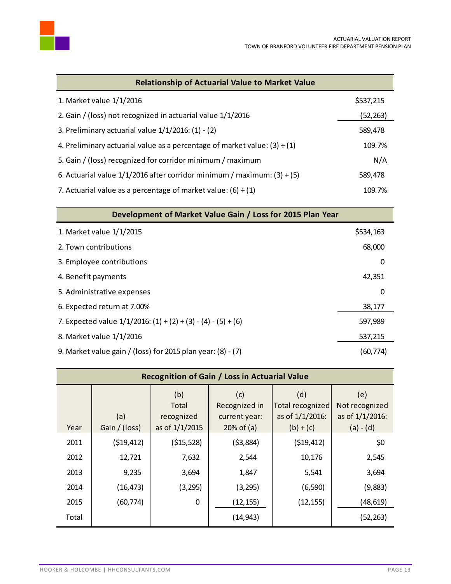

| <b>Relationship of Actuarial Value to Market Value</b>                         |           |  |  |
|--------------------------------------------------------------------------------|-----------|--|--|
| 1. Market value 1/1/2016                                                       | \$537,215 |  |  |
| 2. Gain / (loss) not recognized in actuarial value 1/1/2016                    | (52, 263) |  |  |
| 3. Preliminary actuarial value 1/1/2016: (1) - (2)                             | 589,478   |  |  |
| 4. Preliminary actuarial value as a percentage of market value: $(3) \div (1)$ | 109.7%    |  |  |
| 5. Gain / (loss) recognized for corridor minimum / maximum                     | N/A       |  |  |
| 6. Actuarial value $1/1/2016$ after corridor minimum / maximum: (3) + (5)      | 589,478   |  |  |
| 7. Actuarial value as a percentage of market value: $(6) \div (1)$             | 109.7%    |  |  |

| Development of Market Value Gain / Loss for 2015 Plan Year         |           |
|--------------------------------------------------------------------|-----------|
| 1. Market value 1/1/2015                                           | \$534,163 |
| 2. Town contributions                                              | 68,000    |
| 3. Employee contributions                                          | 0         |
| 4. Benefit payments                                                | 42,351    |
| 5. Administrative expenses                                         | 0         |
| 6. Expected return at 7.00%                                        | 38,177    |
| 7. Expected value $1/1/2016$ : $(1) + (2) + (3) - (4) - (5) + (6)$ | 597,989   |
| 8. Market value 1/1/2016                                           | 537,215   |
| 9. Market value gain / (loss) for 2015 plan year: (8) - (7)        | (60,774)  |

| <b>Recognition of Gain / Loss in Actuarial Value</b> |                      |                                              |                                                       |                                                           |                                                         |  |  |
|------------------------------------------------------|----------------------|----------------------------------------------|-------------------------------------------------------|-----------------------------------------------------------|---------------------------------------------------------|--|--|
| Year                                                 | (a)<br>Gain / (loss) | (b)<br>Total<br>recognized<br>as of 1/1/2015 | (c)<br>Recognized in<br>current year:<br>$20%$ of (a) | (d)<br>Total recognized<br>as of 1/1/2016:<br>$(b) + (c)$ | (e)<br>Not recognized<br>as of 1/1/2016:<br>$(a) - (d)$ |  |  |
| 2011                                                 | ( \$19, 412)         | ( \$15,528)                                  | (53,884)                                              | (519, 412)                                                | \$0                                                     |  |  |
| 2012                                                 | 12,721               | 7,632                                        | 2,544                                                 | 10,176                                                    | 2,545                                                   |  |  |
| 2013                                                 | 9,235                | 3,694                                        | 1,847                                                 | 5,541                                                     | 3,694                                                   |  |  |
| 2014                                                 | (16, 473)            | (3, 295)                                     | (3, 295)                                              | (6, 590)                                                  | (9,883)                                                 |  |  |
| 2015                                                 | (60, 774)            | 0                                            | (12, 155)                                             | (12, 155)                                                 | (48,619)                                                |  |  |
| Total                                                |                      |                                              | (14, 943)                                             |                                                           | (52,263)                                                |  |  |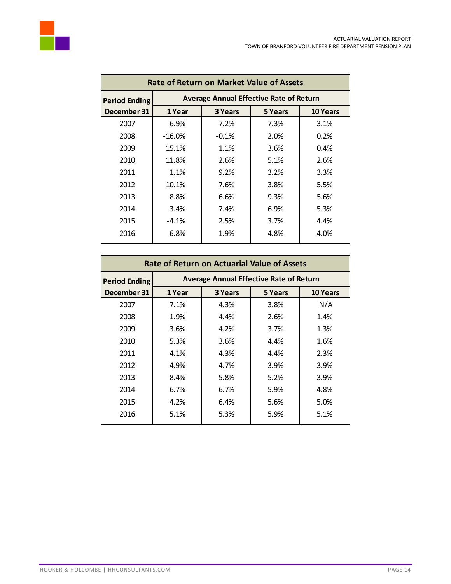

| <b>Rate of Return on Market Value of Assets</b> |           |                                                |         |                 |  |  |  |  |  |
|-------------------------------------------------|-----------|------------------------------------------------|---------|-----------------|--|--|--|--|--|
| <b>Period Ending</b>                            |           | <b>Average Annual Effective Rate of Return</b> |         |                 |  |  |  |  |  |
| December 31                                     | 1 Year    | 3 Years                                        | 5 Years | <b>10 Years</b> |  |  |  |  |  |
| 2007                                            | 6.9%      | 7.2%                                           | 7.3%    | 3.1%            |  |  |  |  |  |
| 2008                                            | $-16.0\%$ | $-0.1\%$                                       | 2.0%    | 0.2%            |  |  |  |  |  |
| 2009                                            | 15.1%     | 1.1%                                           | 3.6%    | 0.4%            |  |  |  |  |  |
| 2010                                            | 11.8%     | 2.6%                                           | 5.1%    | 2.6%            |  |  |  |  |  |
| 2011                                            | $1.1\%$   | 9.2%                                           | 3.2%    | 3.3%            |  |  |  |  |  |
| 2012                                            | 10.1%     | 7.6%                                           | 3.8%    | 5.5%            |  |  |  |  |  |
| 2013                                            | 8.8%      | 6.6%                                           | 9.3%    | 5.6%            |  |  |  |  |  |
| 2014                                            | 3.4%      | 7.4%                                           | 6.9%    | 5.3%            |  |  |  |  |  |
| 2015                                            | $-4.1\%$  | 2.5%                                           | 3.7%    | 4.4%            |  |  |  |  |  |
| 2016                                            | 6.8%      | 1.9%                                           | 4.8%    | 4.0%            |  |  |  |  |  |
|                                                 |           |                                                |         |                 |  |  |  |  |  |

| <b>Rate of Return on Actuarial Value of Assets</b> |        |                                                |         |                 |  |  |  |  |  |
|----------------------------------------------------|--------|------------------------------------------------|---------|-----------------|--|--|--|--|--|
| <b>Period Ending</b>                               |        | <b>Average Annual Effective Rate of Return</b> |         |                 |  |  |  |  |  |
| December 31                                        | 1 Year | 3 Years                                        | 5 Years | <b>10 Years</b> |  |  |  |  |  |
| 2007                                               | 7.1%   | 4.3%                                           | 3.8%    | N/A             |  |  |  |  |  |
| 2008                                               | 1.9%   | 4.4%                                           | 2.6%    | 1.4%            |  |  |  |  |  |
| 2009                                               | 3.6%   | 4.2%                                           | 3.7%    | 1.3%            |  |  |  |  |  |
| 2010                                               | 5.3%   | 3.6%                                           | 4.4%    | 1.6%            |  |  |  |  |  |
| 2011                                               | 4.1%   | 4.3%                                           | 4.4%    | 2.3%            |  |  |  |  |  |
| 2012                                               | 4.9%   | 4.7%                                           | 3.9%    | 3.9%            |  |  |  |  |  |
| 2013                                               | 8.4%   | 5.8%                                           | 5.2%    | 3.9%            |  |  |  |  |  |
| 2014                                               | 6.7%   | 6.7%                                           | 5.9%    | 4.8%            |  |  |  |  |  |
| 2015                                               | 4.2%   | 6.4%                                           | 5.6%    | 5.0%            |  |  |  |  |  |
| 2016                                               | 5.1%   | 5.3%                                           | 5.9%    | 5.1%            |  |  |  |  |  |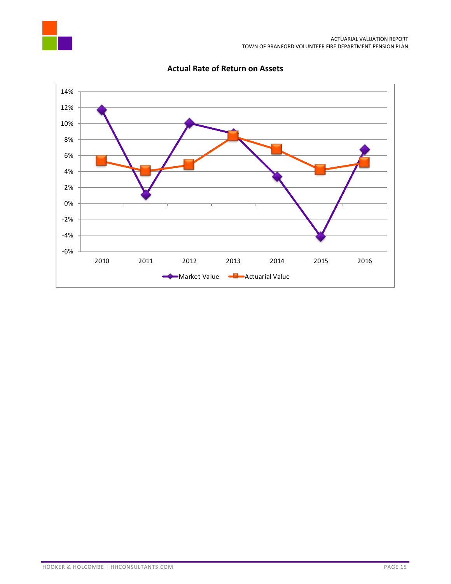



### **Actual Rate of Return on Assets**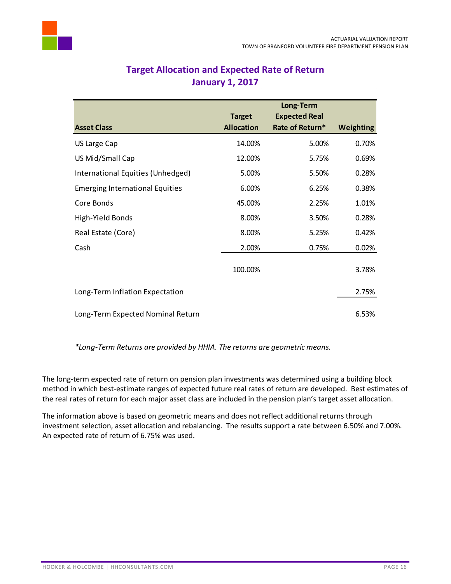<span id="page-17-0"></span>

|                                        |                   | Long-Term            |                  |
|----------------------------------------|-------------------|----------------------|------------------|
|                                        | <b>Target</b>     | <b>Expected Real</b> |                  |
| <b>Asset Class</b>                     | <b>Allocation</b> | Rate of Return*      | <b>Weighting</b> |
| US Large Cap                           | 14.00%            | 5.00%                | 0.70%            |
| US Mid/Small Cap                       | 12.00%            | 5.75%                | 0.69%            |
| International Equities (Unhedged)      | 5.00%             | 5.50%                | 0.28%            |
| <b>Emerging International Equities</b> | 6.00%             | 6.25%                | 0.38%            |
| Core Bonds                             | 45.00%            | 2.25%                | 1.01%            |
| High-Yield Bonds                       | 8.00%             | 3.50%                | 0.28%            |
| Real Estate (Core)                     | 8.00%             | 5.25%                | 0.42%            |
| Cash                                   | 2.00%             | 0.75%                | 0.02%            |
|                                        | 100.00%           |                      | 3.78%            |
| Long-Term Inflation Expectation        |                   |                      | 2.75%            |
| Long-Term Expected Nominal Return      |                   |                      | 6.53%            |

### **Target Allocation and Expected Rate of Return January 1, 2017**

*\*Long-Term Returns are provided by HHIA. The returns are geometric means.*

The long-term expected rate of return on pension plan investments was determined using a building block method in which best-estimate ranges of expected future real rates of return are developed. Best estimates of the real rates of return for each major asset class are included in the pension plan's target asset allocation.

The information above is based on geometric means and does not reflect additional returns through investment selection, asset allocation and rebalancing. The results support a rate between 6.50% and 7.00%. An expected rate of return of 6.75% was used.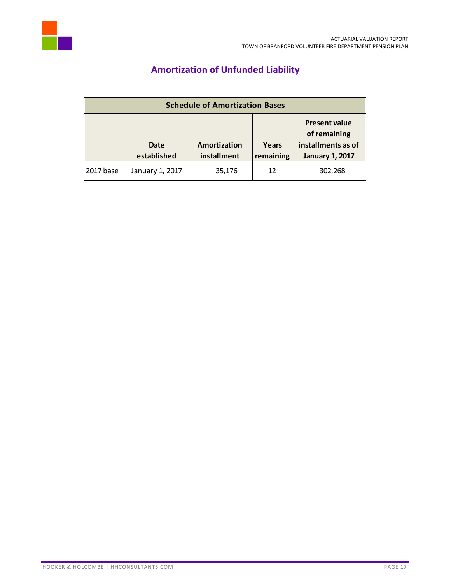<span id="page-18-0"></span>

# **Amortization of Unfunded Liability**

| <b>Schedule of Amortization Bases</b> |                            |                             |                    |                                                                                      |  |
|---------------------------------------|----------------------------|-----------------------------|--------------------|--------------------------------------------------------------------------------------|--|
|                                       | <b>Date</b><br>established | Amortization<br>installment | Years<br>remaining | <b>Present value</b><br>of remaining<br>installments as of<br><b>January 1, 2017</b> |  |
| 2017 base                             | January 1, 2017            | 35,176                      | 12                 | 302,268                                                                              |  |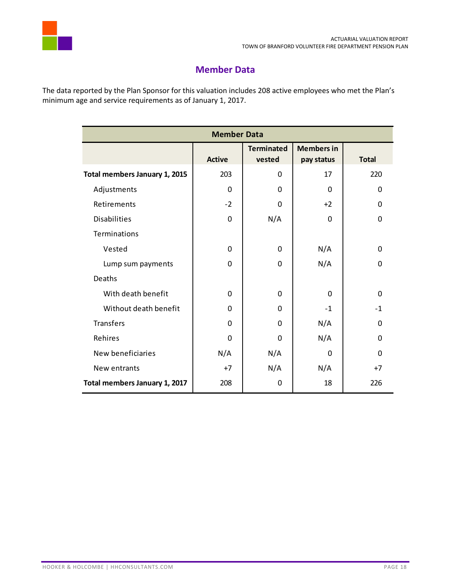

### **Member Data**

<span id="page-19-0"></span>The data reported by the Plan Sponsor for this valuation includes 208 active employees who met the Plan's minimum age and service requirements as of January 1, 2017.

| <b>Member Data</b>            |               |                             |                                 |              |  |  |
|-------------------------------|---------------|-----------------------------|---------------------------------|--------------|--|--|
|                               | <b>Active</b> | <b>Terminated</b><br>vested | <b>Members in</b><br>pay status | <b>Total</b> |  |  |
| Total members January 1, 2015 | 203           | 0                           | 17                              | 220          |  |  |
| Adjustments                   | 0             | 0                           | $\mathbf 0$                     | $\mathbf{0}$ |  |  |
| Retirements                   | $-2$          | $\mathbf 0$                 | $+2$                            | 0            |  |  |
| <b>Disabilities</b>           | $\mathbf 0$   | N/A                         | $\mathbf 0$                     | $\mathbf 0$  |  |  |
| Terminations                  |               |                             |                                 |              |  |  |
| Vested                        | 0             | $\mathbf 0$                 | N/A                             | 0            |  |  |
| Lump sum payments             | $\mathbf 0$   | $\mathbf 0$                 | N/A                             | 0            |  |  |
| Deaths                        |               |                             |                                 |              |  |  |
| With death benefit            | $\mathbf 0$   | $\mathbf 0$                 | $\mathbf 0$                     | 0            |  |  |
| Without death benefit         | 0             | $\mathbf 0$                 | $-1$                            | $-1$         |  |  |
| Transfers                     | $\mathbf{0}$  | $\mathbf{0}$                | N/A                             | $\Omega$     |  |  |
| Rehires                       | $\mathbf 0$   | $\mathbf 0$                 | N/A                             | $\Omega$     |  |  |
| New beneficiaries             | N/A           | N/A                         | 0                               | $\mathbf{0}$ |  |  |
| New entrants                  | $+7$          | N/A                         | N/A                             | $+7$         |  |  |
| Total members January 1, 2017 | 208           | 0                           | 18                              | 226          |  |  |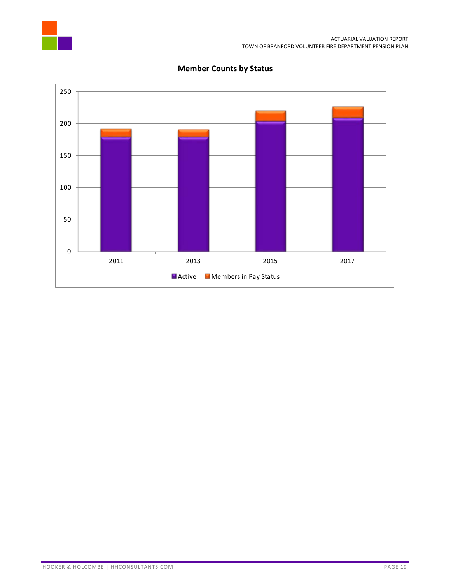



### **Member Counts by Status**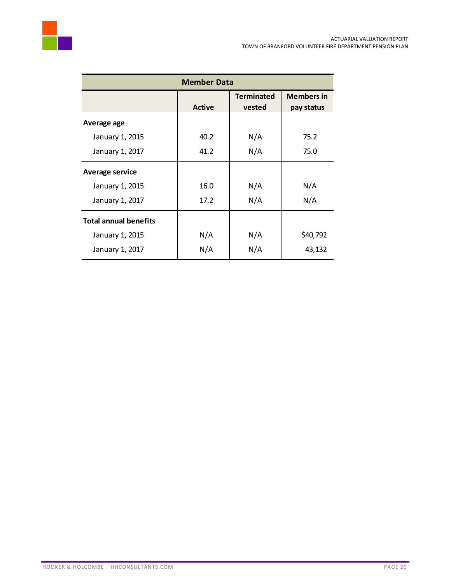

| <b>Member Data</b>           |                                        |        |            |  |  |  |
|------------------------------|----------------------------------------|--------|------------|--|--|--|
|                              | <b>Terminated</b><br><b>Members in</b> |        |            |  |  |  |
|                              | <b>Active</b>                          | vested | pay status |  |  |  |
| Average age                  |                                        |        |            |  |  |  |
| January 1, 2015              | 40.2                                   | N/A    | 75.2       |  |  |  |
| January 1, 2017              | 41.2                                   | N/A    | 75.0       |  |  |  |
| <b>Average service</b>       |                                        |        |            |  |  |  |
| January 1, 2015              | 16.0                                   | N/A    | N/A        |  |  |  |
| January 1, 2017              | 17.2                                   | N/A    | N/A        |  |  |  |
| <b>Total annual benefits</b> |                                        |        |            |  |  |  |
| January 1, 2015              | N/A                                    | N/A    | \$40,792   |  |  |  |
| January 1, 2017              | N/A                                    | N/A    | 43,132     |  |  |  |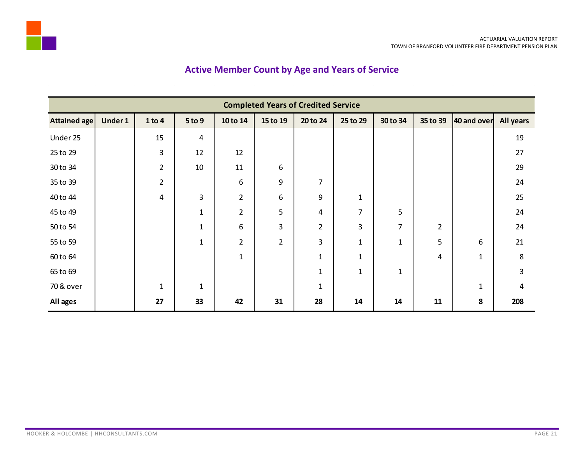# **Active Member Count by Age and Years of Service**

<span id="page-22-0"></span>

| <b>Completed Years of Credited Service</b> |         |                |                |                |                |                |          |                |                |              |                  |
|--------------------------------------------|---------|----------------|----------------|----------------|----------------|----------------|----------|----------------|----------------|--------------|------------------|
| Attained age                               | Under 1 | 1 to 4         | 5 to 9         | 10 to 14       | 15 to 19       | 20 to 24       | 25 to 29 | 30 to 34       | 35 to 39       | 40 and over  | <b>All years</b> |
| Under 25                                   |         | 15             | 4              |                |                |                |          |                |                |              | 19               |
| 25 to 29                                   |         | 3              | 12             | 12             |                |                |          |                |                |              | 27               |
| 30 to 34                                   |         | $\overline{2}$ | 10             | 11             | 6              |                |          |                |                |              | 29               |
| 35 to 39                                   |         | $\overline{2}$ |                | 6              | 9              | $\overline{7}$ |          |                |                |              | 24               |
| 40 to 44                                   |         | 4              | $\overline{3}$ | $\overline{2}$ | 6              | 9              | 1        |                |                |              | 25               |
| 45 to 49                                   |         |                | $\mathbf{1}$   | $\overline{2}$ | 5              | 4              | 7        | 5              |                |              | 24               |
| 50 to 54                                   |         |                | $\mathbf{1}$   | 6              | 3              | $\overline{2}$ | 3        | $\overline{7}$ | $\overline{2}$ |              | 24               |
| 55 to 59                                   |         |                | $\mathbf{1}$   | $\overline{2}$ | $\overline{2}$ | 3              | 1        | $\mathbf{1}$   | 5              | 6            | 21               |
| 60 to 64                                   |         |                |                | $\mathbf{1}$   |                | $\mathbf{1}$   | 1        |                | 4              | $\mathbf{1}$ | 8                |
| 65 to 69                                   |         |                |                |                |                | $\mathbf{1}$   | 1        | $\mathbf{1}$   |                |              | 3                |
| 70 & over                                  |         | $\mathbf{1}$   | $\mathbf 1$    |                |                | $\mathbf{1}$   |          |                |                | $\mathbf{1}$ | 4                |
| All ages                                   |         | 27             | 33             | 42             | 31             | 28             | 14       | 14             | 11             | 8            | 208              |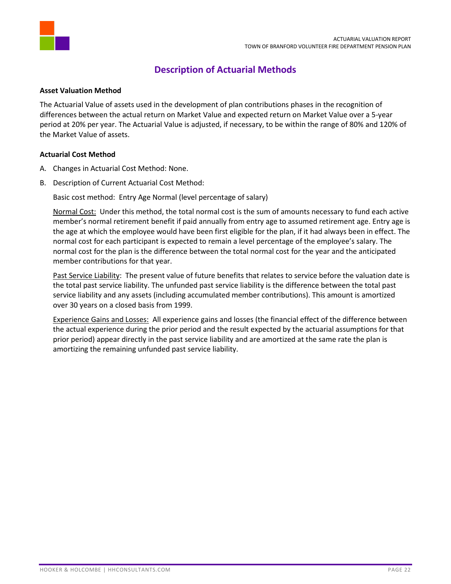

### **Description of Actuarial Methods**

### <span id="page-23-0"></span>**Asset Valuation Method**

The Actuarial Value of assets used in the development of plan contributions phases in the recognition of differences between the actual return on Market Value and expected return on Market Value over a 5-year period at 20% per year. The Actuarial Value is adjusted, if necessary, to be within the range of 80% and 120% of the Market Value of assets.

### **Actuarial Cost Method**

- A. Changes in Actuarial Cost Method: None.
- B. Description of Current Actuarial Cost Method:

Basic cost method: Entry Age Normal (level percentage of salary)

Normal Cost: Under this method, the total normal cost is the sum of amounts necessary to fund each active member's normal retirement benefit if paid annually from entry age to assumed retirement age. Entry age is the age at which the employee would have been first eligible for the plan, if it had always been in effect. The normal cost for each participant is expected to remain a level percentage of the employee's salary. The normal cost for the plan is the difference between the total normal cost for the year and the anticipated member contributions for that year.

Past Service Liability: The present value of future benefits that relates to service before the valuation date is the total past service liability. The unfunded past service liability is the difference between the total past service liability and any assets (including accumulated member contributions). This amount is amortized over 30 years on a closed basis from 1999.

Experience Gains and Losses: All experience gains and losses (the financial effect of the difference between the actual experience during the prior period and the result expected by the actuarial assumptions for that prior period) appear directly in the past service liability and are amortized at the same rate the plan is amortizing the remaining unfunded past service liability.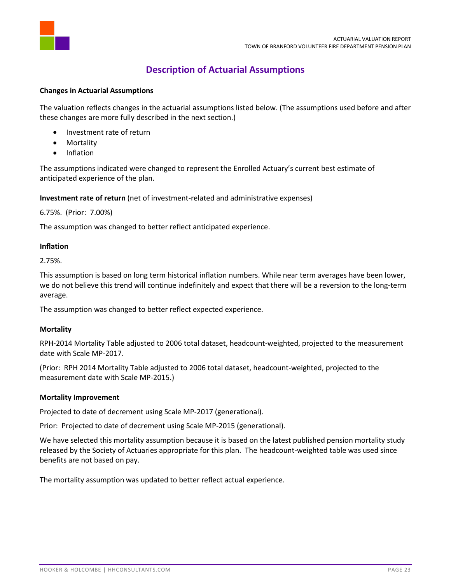

### **Description of Actuarial Assumptions**

### <span id="page-24-0"></span>**Changes in Actuarial Assumptions**

The valuation reflects changes in the actuarial assumptions listed below. (The assumptions used before and after these changes are more fully described in the next section.)

- Investment rate of return
- Mortality
- Inflation

The assumptions indicated were changed to represent the Enrolled Actuary's current best estimate of anticipated experience of the plan.

**Investment rate of return** (net of investment-related and administrative expenses)

6.75%. (Prior: 7.00%)

The assumption was changed to better reflect anticipated experience.

### **Inflation**

2.75%.

This assumption is based on long term historical inflation numbers. While near term averages have been lower, we do not believe this trend will continue indefinitely and expect that there will be a reversion to the long-term average.

The assumption was changed to better reflect expected experience.

#### **Mortality**

RPH-2014 Mortality Table adjusted to 2006 total dataset, headcount-weighted, projected to the measurement date with Scale MP-2017.

(Prior: RPH 2014 Mortality Table adjusted to 2006 total dataset, headcount-weighted, projected to the measurement date with Scale MP-2015.)

#### **Mortality Improvement**

Projected to date of decrement using Scale MP-2017 (generational).

Prior: Projected to date of decrement using Scale MP-2015 (generational).

We have selected this mortality assumption because it is based on the latest published pension mortality study released by the Society of Actuaries appropriate for this plan. The headcount-weighted table was used since benefits are not based on pay.

The mortality assumption was updated to better reflect actual experience.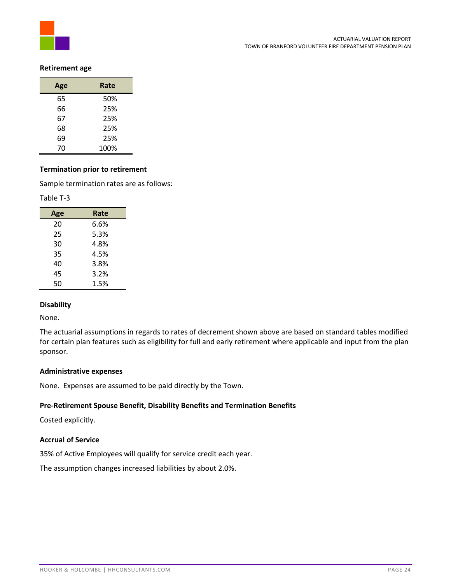

### **Retirement age**

| Age | Rate |
|-----|------|
| 65  | 50%  |
| 66  | 25%  |
| 67  | 25%  |
| 68  | 25%  |
| 69  | 25%  |
| 70  | 100% |

### **Termination prior to retirement**

Sample termination rates are as follows:

#### Table T-3

| Age | Rate |
|-----|------|
| 20  | 6.6% |
| 25  | 5.3% |
| 30  | 4.8% |
| 35  | 4.5% |
| 40  | 3.8% |
| 45  | 3.2% |
| 50  | 1.5% |

#### **Disability**

None.

The actuarial assumptions in regards to rates of decrement shown above are based on standard tables modified for certain plan features such as eligibility for full and early retirement where applicable and input from the plan sponsor.

#### **Administrative expenses**

None. Expenses are assumed to be paid directly by the Town.

### **Pre-Retirement Spouse Benefit, Disability Benefits and Termination Benefits**

Costed explicitly.

### **Accrual of Service**

35% of Active Employees will qualify for service credit each year.

The assumption changes increased liabilities by about 2.0%.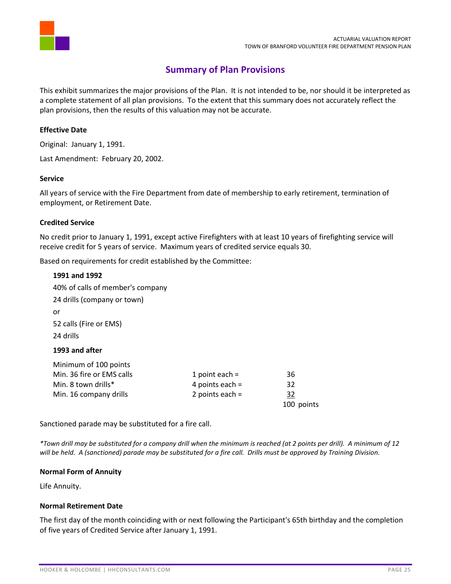

### **Summary of Plan Provisions**

<span id="page-26-0"></span>This exhibit summarizes the major provisions of the Plan. It is not intended to be, nor should it be interpreted as a complete statement of all plan provisions. To the extent that this summary does not accurately reflect the plan provisions, then the results of this valuation may not be accurate.

### **Effective Date**

Original: January 1, 1991.

Last Amendment: February 20, 2002.

### **Service**

All years of service with the Fire Department from date of membership to early retirement, termination of employment, or Retirement Date.

### **Credited Service**

No credit prior to January 1, 1991, except active Firefighters with at least 10 years of firefighting service will receive credit for 5 years of service. Maximum years of credited service equals 30.

Based on requirements for credit established by the Committee:

### **1991 and 1992**

| 40% of calls of member's company |                   |            |
|----------------------------------|-------------------|------------|
| 24 drills (company or town)      |                   |            |
| or                               |                   |            |
| 52 calls (Fire or EMS)           |                   |            |
| 24 drills                        |                   |            |
| 1993 and after                   |                   |            |
| Minimum of 100 points            |                   |            |
| Min. 36 fire or EMS calls        | 1 point each $=$  | 36         |
| Min. 8 town drills*              | 4 points each $=$ | 32         |
| Min. 16 company drills           | 2 points each $=$ | 32         |
|                                  |                   | 100 points |

Sanctioned parade may be substituted for a fire call.

*\*Town drill may be substituted for a company drill when the minimum is reached (at 2 points per drill). A minimum of 12 will be held. A (sanctioned) parade may be substituted for a fire call. Drills must be approved by Training Division.*

#### **Normal Form of Annuity**

Life Annuity.

### **Normal Retirement Date**

The first day of the month coinciding with or next following the Participant's 65th birthday and the completion of five years of Credited Service after January 1, 1991.